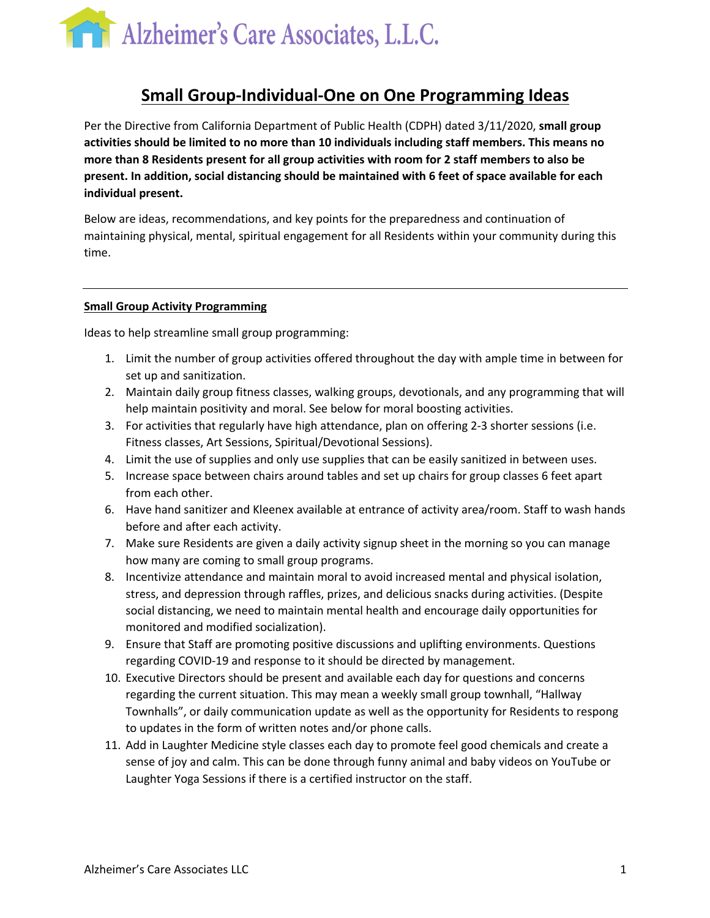

# **Small Group-Individual-One on One Programming Ideas**

Per the Directive from California Department of Public Health (CDPH) dated 3/11/2020, **small group activities should be limited to no more than 10 individuals including staff members. This means no more than 8 Residents present for all group activities with room for 2 staff members to also be present. In addition, social distancing should be maintained with 6 feet of space available for each individual present.** 

Below are ideas, recommendations, and key points for the preparedness and continuation of maintaining physical, mental, spiritual engagement for all Residents within your community during this time.

### **Small Group Activity Programming**

Ideas to help streamline small group programming:

- 1. Limit the number of group activities offered throughout the day with ample time in between for set up and sanitization.
- 2. Maintain daily group fitness classes, walking groups, devotionals, and any programming that will help maintain positivity and moral. See below for moral boosting activities.
- 3. For activities that regularly have high attendance, plan on offering 2-3 shorter sessions (i.e. Fitness classes, Art Sessions, Spiritual/Devotional Sessions).
- 4. Limit the use of supplies and only use supplies that can be easily sanitized in between uses.
- 5. Increase space between chairs around tables and set up chairs for group classes 6 feet apart from each other.
- 6. Have hand sanitizer and Kleenex available at entrance of activity area/room. Staff to wash hands before and after each activity.
- 7. Make sure Residents are given a daily activity signup sheet in the morning so you can manage how many are coming to small group programs.
- 8. Incentivize attendance and maintain moral to avoid increased mental and physical isolation, stress, and depression through raffles, prizes, and delicious snacks during activities. (Despite social distancing, we need to maintain mental health and encourage daily opportunities for monitored and modified socialization).
- 9. Ensure that Staff are promoting positive discussions and uplifting environments. Questions regarding COVID-19 and response to it should be directed by management.
- 10. Executive Directors should be present and available each day for questions and concerns regarding the current situation. This may mean a weekly small group townhall, "Hallway Townhalls", or daily communication update as well as the opportunity for Residents to respong to updates in the form of written notes and/or phone calls.
- 11. Add in Laughter Medicine style classes each day to promote feel good chemicals and create a sense of joy and calm. This can be done through funny animal and baby videos on YouTube or Laughter Yoga Sessions if there is a certified instructor on the staff.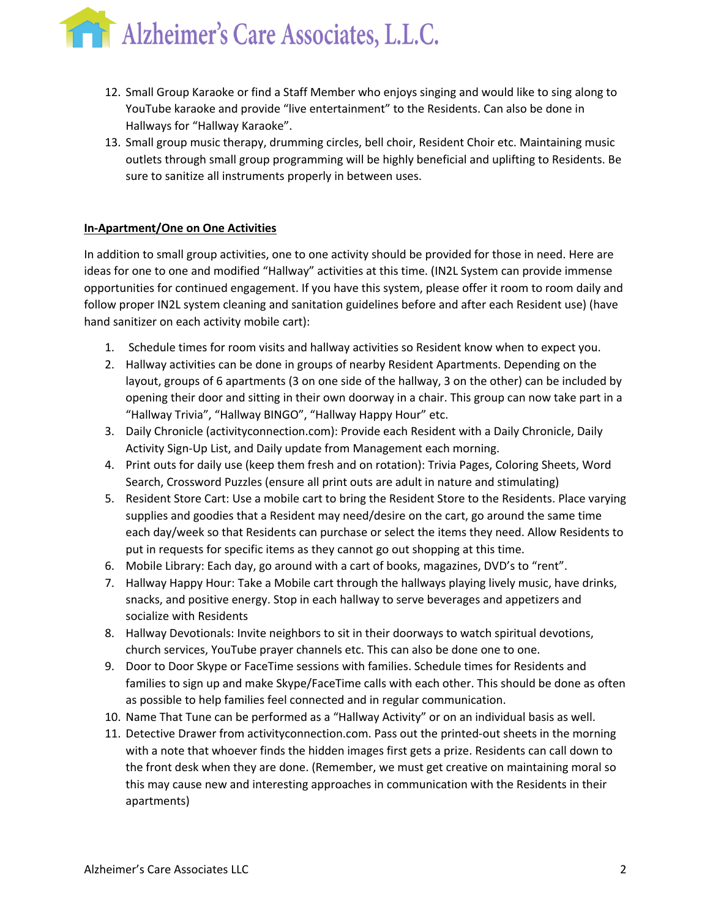

- 12. Small Group Karaoke or find a Staff Member who enjoys singing and would like to sing along to YouTube karaoke and provide "live entertainment" to the Residents. Can also be done in Hallways for "Hallway Karaoke".
- 13. Small group music therapy, drumming circles, bell choir, Resident Choir etc. Maintaining music outlets through small group programming will be highly beneficial and uplifting to Residents. Be sure to sanitize all instruments properly in between uses.

### **In-Apartment/One on One Activities**

In addition to small group activities, one to one activity should be provided for those in need. Here are ideas for one to one and modified "Hallway" activities at this time. (IN2L System can provide immense opportunities for continued engagement. If you have this system, please offer it room to room daily and follow proper IN2L system cleaning and sanitation guidelines before and after each Resident use) (have hand sanitizer on each activity mobile cart):

- 1. Schedule times for room visits and hallway activities so Resident know when to expect you.
- 2. Hallway activities can be done in groups of nearby Resident Apartments. Depending on the layout, groups of 6 apartments (3 on one side of the hallway, 3 on the other) can be included by opening their door and sitting in their own doorway in a chair. This group can now take part in a "Hallway Trivia", "Hallway BINGO", "Hallway Happy Hour" etc.
- 3. Daily Chronicle (activityconnection.com): Provide each Resident with a Daily Chronicle, Daily Activity Sign-Up List, and Daily update from Management each morning.
- 4. Print outs for daily use (keep them fresh and on rotation): Trivia Pages, Coloring Sheets, Word Search, Crossword Puzzles (ensure all print outs are adult in nature and stimulating)
- 5. Resident Store Cart: Use a mobile cart to bring the Resident Store to the Residents. Place varying supplies and goodies that a Resident may need/desire on the cart, go around the same time each day/week so that Residents can purchase or select the items they need. Allow Residents to put in requests for specific items as they cannot go out shopping at this time.
- 6. Mobile Library: Each day, go around with a cart of books, magazines, DVD's to "rent".
- 7. Hallway Happy Hour: Take a Mobile cart through the hallways playing lively music, have drinks, snacks, and positive energy. Stop in each hallway to serve beverages and appetizers and socialize with Residents
- 8. Hallway Devotionals: Invite neighbors to sit in their doorways to watch spiritual devotions, church services, YouTube prayer channels etc. This can also be done one to one.
- 9. Door to Door Skype or FaceTime sessions with families. Schedule times for Residents and families to sign up and make Skype/FaceTime calls with each other. This should be done as often as possible to help families feel connected and in regular communication.
- 10. Name That Tune can be performed as a "Hallway Activity" or on an individual basis as well.
- 11. Detective Drawer from activityconnection.com. Pass out the printed-out sheets in the morning with a note that whoever finds the hidden images first gets a prize. Residents can call down to the front desk when they are done. (Remember, we must get creative on maintaining moral so this may cause new and interesting approaches in communication with the Residents in their apartments)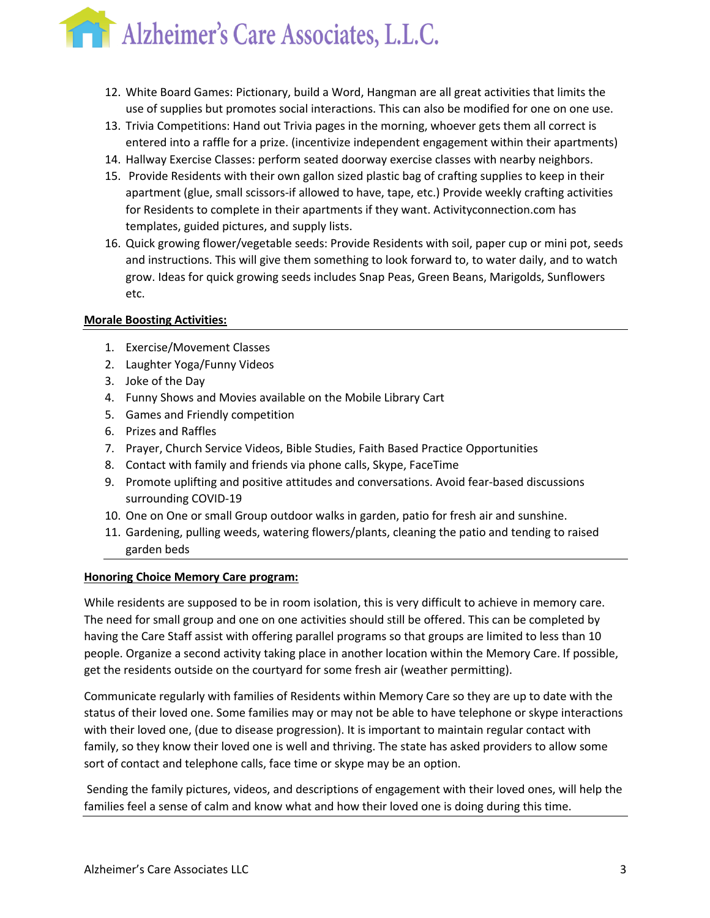# Alzheimer's Care Associates, L.L.C.

- 12. White Board Games: Pictionary, build a Word, Hangman are all great activities that limits the use of supplies but promotes social interactions. This can also be modified for one on one use.
- 13. Trivia Competitions: Hand out Trivia pages in the morning, whoever gets them all correct is entered into a raffle for a prize. (incentivize independent engagement within their apartments)
- 14. Hallway Exercise Classes: perform seated doorway exercise classes with nearby neighbors.
- 15. Provide Residents with their own gallon sized plastic bag of crafting supplies to keep in their apartment (glue, small scissors-if allowed to have, tape, etc.) Provide weekly crafting activities for Residents to complete in their apartments if they want. Activityconnection.com has templates, guided pictures, and supply lists.
- 16. Quick growing flower/vegetable seeds: Provide Residents with soil, paper cup or mini pot, seeds and instructions. This will give them something to look forward to, to water daily, and to watch grow. Ideas for quick growing seeds includes Snap Peas, Green Beans, Marigolds, Sunflowers etc.

## **Morale Boosting Activities:**

- 1. Exercise/Movement Classes
- 2. Laughter Yoga/Funny Videos
- 3. Joke of the Day
- 4. Funny Shows and Movies available on the Mobile Library Cart
- 5. Games and Friendly competition
- 6. Prizes and Raffles
- 7. Prayer, Church Service Videos, Bible Studies, Faith Based Practice Opportunities
- 8. Contact with family and friends via phone calls, Skype, FaceTime
- 9. Promote uplifting and positive attitudes and conversations. Avoid fear-based discussions surrounding COVID-19
- 10. One on One or small Group outdoor walks in garden, patio for fresh air and sunshine.
- 11. Gardening, pulling weeds, watering flowers/plants, cleaning the patio and tending to raised garden beds

### **Honoring Choice Memory Care program:**

While residents are supposed to be in room isolation, this is very difficult to achieve in memory care. The need for small group and one on one activities should still be offered. This can be completed by having the Care Staff assist with offering parallel programs so that groups are limited to less than 10 people. Organize a second activity taking place in another location within the Memory Care. If possible, get the residents outside on the courtyard for some fresh air (weather permitting).

Communicate regularly with families of Residents within Memory Care so they are up to date with the status of their loved one. Some families may or may not be able to have telephone or skype interactions with their loved one, (due to disease progression). It is important to maintain regular contact with family, so they know their loved one is well and thriving. The state has asked providers to allow some sort of contact and telephone calls, face time or skype may be an option.

Sending the family pictures, videos, and descriptions of engagement with their loved ones, will help the families feel a sense of calm and know what and how their loved one is doing during this time.